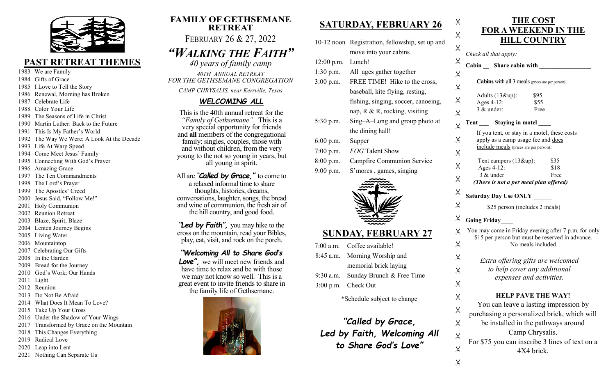

#### PAST RETREAT THEMES

- 1983 We are Family
- 1984 Gifts of Grace
- 1985 I Love to Tell the Story
- 1986 Renewal, Morning has Broken
- 1987 Celebrate Life
- 1988 Color Your Life
- 1989 The Seasons of Life in Christ
- 1990 Martin Luther: Back to the Future
- 1991 This Is My Father's World
- 1992 The Way We Were; A Look At the Decade
- 1993 Life At Warp Speed
- 1994 Come Meet Jesus' Family
- 1995 Connecting With God's Prayer
- 1996 Amazing Grace
- 1997 The Ten Commandments
- 1998 The Lord's Prayer
- 1999 The Apostles' Creed
- 2000 Jesus Said, "Follow Me!"
- 2001 Holy Communion
- 2002 Reunion Retreat
- 2003 Blaze, Spirit, Blaze
- 2004 Lenten Journey Begins
- 2005 Living Water
- 2006 Mountaintop
- 2007 Celebrating Our Gifts
- 2008 In the Garden
- 2009 Bread for the Journey
- 2010 God's Work; Our Hands
- 2011 Light
- 2012 Reunion
- 2013 Do Not Be Afraid
- 2014 What Does It Mean To Love?
- 2015 Take Up Your Cross
- 2016 Under the Shadow of Your Wings
- 2017 Transformed by Grace on the Mountain
- 2018 This Changes Everything
- 2019 Radical Love
- 2020 Leap into Lent
- 2021 Nothing Can Separate Us

#### FAMILY OF GETHSEMANE RETREAT FEBRUARY 26 & 27, 2022

# "WALKING THE FAITH"

40 years of family camp 40TH ANNUAL RETREAT FOR THE GETHSEMANE CONGREGATION

CAMP CHRYSALIS, near Kerrville, Texas

#### WELCOMING ALL

This is the 40th annual retreat for the "Family of Gethsemane". This is a very special opportunity for friends and all members of the congregational family: singles, couples, those with and without children, from the very young to the not so young in years, but all young in spirit.

All are "**Called by Grace**," to come to a relaxed informal time to share thoughts, histories, dreams, conversations, laughter, songs, the bread and wine of communion, the fresh air of the hill country, and good food.

"Led by Faith", you may hike to the cross on the mountain, read your Bibles, play, eat, visit, and rock on the porch.

#### "Welcoming All to Share God's

Love", we will meet new friends and have time to relax and be with those we may not know so well. This is a great event to invite friends to share in the family life of Gethsemane.



### SATURDAY, FEBRUARY 26

 $\times$ 

|              | 10-12 noon Registration, fellowship, set up and |
|--------------|-------------------------------------------------|
|              | move into your cabins                           |
| $12:00$ p.m. | Lunch!                                          |
| $1:30$ p.m.  | All ages gather together                        |
| $3:00$ p.m.  | FREE TIME! Hike to the cross,                   |
|              | baseball, kite flying, resting,                 |
|              | fishing, singing, soccer, canoeing,             |
|              | nap, $R \& R$ , rocking, visiting               |
| $5:30$ p.m.  | Sing-A-Long and group photo at                  |
|              | the dining hall!                                |
| $6:00$ p.m.  | Supper                                          |
| 7:00 p.m.    | <b>FOG</b> Talent Show                          |
| $8:00$ p.m.  | Campfire Communion Service                      |
| 9:00 p.m.    | S'mores, games, singing                         |
|              |                                                 |

#### SUNDAY, FEBRUARY 27

| $7:00$ a.m. Coffee available!       |
|-------------------------------------|
| 8:45 a.m. Morning Worship and       |
| memorial brick laying               |
| 9:30 a.m. Sunday Brunch & Free Time |
| 3:00 p.m. Check Out                 |

\*Schedule subject to change

"Called by Grace, Led by Faith, Welcoming All to Share God's Love"

|                         | <b>FOR A WEEKEND IN THE</b>                                                                              |  |  |
|-------------------------|----------------------------------------------------------------------------------------------------------|--|--|
| X                       | <b>HILL COUNTRY</b>                                                                                      |  |  |
| $\times$                | Check all that apply:                                                                                    |  |  |
| X                       | Cabin Share cabin with                                                                                   |  |  |
| $\times$                |                                                                                                          |  |  |
| $\times$                | <b>Cabins</b> with all 3 meals (prices are per person):                                                  |  |  |
| $\times$                | Adults (13&up):<br>\$95<br>Ages 4-12:<br>\$55                                                            |  |  |
| $\times$                | 3 & under:<br>Free                                                                                       |  |  |
|                         | Tent _____ Staying in motel ____                                                                         |  |  |
| X                       | If you tent, or stay in a motel, these costs                                                             |  |  |
| $\times$                | apply as a camp usage fee and does<br>include meals (prices are per person):                             |  |  |
| $\times$                |                                                                                                          |  |  |
| $\times$                | Tent campers (13&up):<br>\$35<br>Ages 4-12:<br>\$18                                                      |  |  |
| X                       | 3 & under<br>Free<br>(There is not a per meal plan offered)                                              |  |  |
| $\times$                |                                                                                                          |  |  |
|                         | <b>Saturday Day Use ONLY</b>                                                                             |  |  |
| $\times$                | \$25 person (includes 2 meals)                                                                           |  |  |
| X                       | <b>Going Friday</b>                                                                                      |  |  |
| $\times$                | You may come in Friday evening after 7 p.m. for only<br>\$15 per person but must be reserved in advance. |  |  |
| X                       | No meals included.                                                                                       |  |  |
| $\times$                | Extra offering gifts are welcomed                                                                        |  |  |
| $\times$                | to help cover any additional                                                                             |  |  |
| $\times$                | expenses and activities.                                                                                 |  |  |
|                         | <b>HELP PAVE THE WAY!</b>                                                                                |  |  |
| X                       | You can leave a lasting impression by                                                                    |  |  |
| X                       | purchasing a personalized brick, which will                                                              |  |  |
| $\times$                | be installed in the pathways around                                                                      |  |  |
| $\times$                | Camp Chrysalis.                                                                                          |  |  |
| $\chi$                  | For \$75 you can inscribe 3 lines of text on a<br>4X4 brick.                                             |  |  |
| $\overline{\mathsf{x}}$ |                                                                                                          |  |  |

THE COST